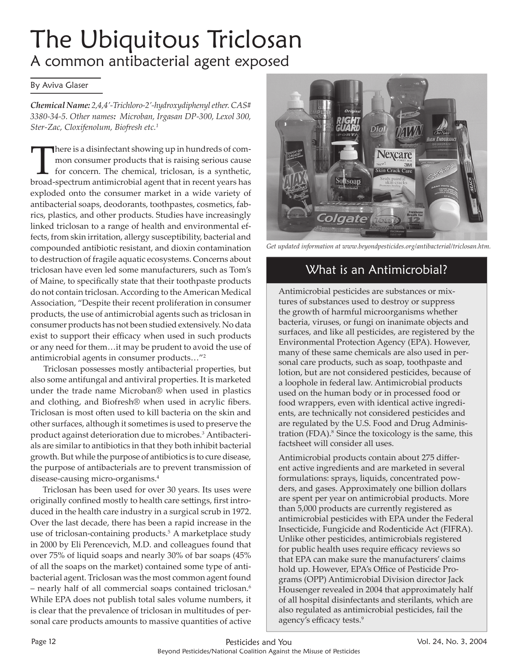# The Ubiquitous Triclosan A common antibacterial agent exposed

#### By Aviva Glaser

*Chemical Name: 2,4,4'-Trichloro-2'-hydroxydiphenyl ether. CAS# 3380-34-5. Other names: Microban, Irgasan DP-300, Lexol 300, Ster-Zac, Cloxifenolum, Biofresh etc.1*

There is a disinfectant showing up in hundreds of com-<br>mon consumer products that is raising serious cause<br>for concern. The chemical, triclosan, is a synthetic,<br>hroad spectrum antimicrobial agent that in recent years base mon consumer products that is raising serious cause for concern. The chemical, triclosan, is a synthetic, broad-spectrum antimicrobial agent that in recent years has exploded onto the consumer market in a wide variety of antibacterial soaps, deodorants, toothpastes, cosmetics, fabrics, plastics, and other products. Studies have increasingly linked triclosan to a range of health and environmental effects, from skin irritation, allergy susceptibility, bacterial and compounded antibiotic resistant, and dioxin contamination to destruction of fragile aquatic ecosystems. Concerns about triclosan have even led some manufacturers, such as Tom's of Maine, to specifically state that their toothpaste products do not contain triclosan. According to the American Medical Association, "Despite their recent proliferation in consumer products, the use of antimicrobial agents such as triclosan in consumer products has not been studied extensively. No data exist to support their efficacy when used in such products or any need for them…it may be prudent to avoid the use of antimicrobial agents in consumer products…"2

 Triclosan possesses mostly antibacterial properties, but also some antifungal and antiviral properties. It is marketed under the trade name Microban® when used in plastics and clothing, and Biofresh® when used in acrylic fibers. Triclosan is most often used to kill bacteria on the skin and other surfaces, although it sometimes is used to preserve the product against deterioration due to microbes.3 Antibacterials are similar to antibiotics in that they both inhibit bacterial growth. But while the purpose of antibiotics is to cure disease, the purpose of antibacterials are to prevent transmission of disease-causing micro-organisms.4

 Triclosan has been used for over 30 years. Its uses were originally confined mostly to health care settings, first introduced in the health care industry in a surgical scrub in 1972. Over the last decade, there has been a rapid increase in the use of triclosan-containing products.<sup>5</sup> A marketplace study in 2000 by Eli Perencevich, M.D. and colleagues found that over 75% of liquid soaps and nearly 30% of bar soaps (45% of all the soaps on the market) contained some type of antibacterial agent. Triclosan was the most common agent found – nearly half of all commercial soaps contained triclosan.6 While EPA does not publish total sales volume numbers, it is clear that the prevalence of triclosan in multitudes of personal care products amounts to massive quantities of active



*[Get updated information at www.beyondpesticides.org/antibacterial/triclosan.htm.](http://www.beyondpesticides.org/antibacterial/triclosan.htm)*

# What is an Antimicrobial?

Antimicrobial pesticides are substances or mixtures of substances used to destroy or suppress the growth of harmful microorganisms whether bacteria, viruses, or fungi on inanimate objects and surfaces, and like all pesticides, are registered by the Environmental Protection Agency (EPA). However, many of these same chemicals are also used in personal care products, such as soap, toothpaste and lotion, but are not considered pesticides, because of a loophole in federal law. Antimicrobial products used on the human body or in processed food or food wrappers, even with identical active ingredients, are technically not considered pesticides and are regulated by the U.S. Food and Drug Administration (FDA).<sup>8</sup> Since the toxicology is the same, this factsheet will consider all uses.

Antimicrobial products contain about 275 different active ingredients and are marketed in several formulations: sprays, liquids, concentrated powders, and gases. Approximately one billion dollars are spent per year on antimicrobial products. More than 5,000 products are currently registered as antimicrobial pesticides with EPA under the Federal Insecticide, Fungicide and Rodenticide Act (FIFRA). Unlike other pesticides, antimicrobials registered for public health uses require efficacy reviews so that EPA can make sure the manufacturers' claims hold up. However, EPA's Office of Pesticide Programs (OPP) Antimicrobial Division director Jack Housenger revealed in 2004 that approximately half of all hospital disinfectants and sterilants, which are also regulated as antimicrobial pesticides, fail the agency's efficacy tests.<sup>9</sup>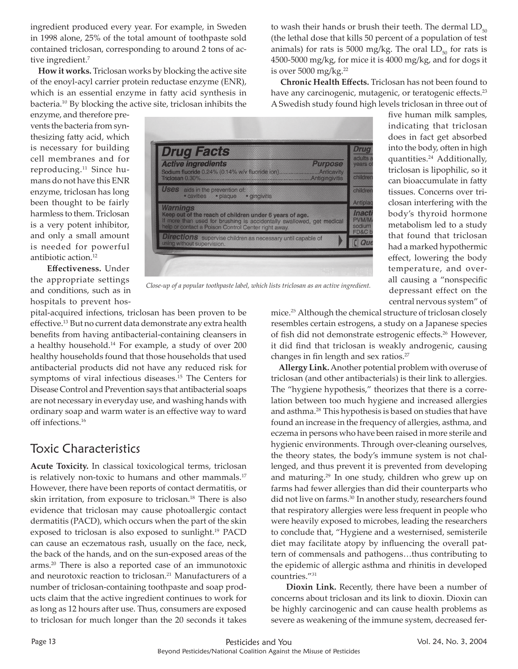ingredient produced every year. For example, in Sweden in 1998 alone, 25% of the total amount of toothpaste sold contained triclosan, corresponding to around 2 tons of active ingredient.<sup>7</sup>

 **How it works.** Triclosan works by blocking the active site of the enoyl-acyl carrier protein reductase enzyme (ENR), which is an essential enzyme in fatty acid synthesis in bacteria.10 By blocking the active site, triclosan inhibits the

enzyme, and therefore prevents the bacteria from synthesizing fatty acid, which is necessary for building cell membranes and for reproducing.<sup>11</sup> Since humans do not have this ENR enzyme, triclosan has long been thought to be fairly harmless to them. Triclosan is a very potent inhibitor, and only a small amount is needed for powerful antibiotic action.12

**Effectiveness.** Under the appropriate settings and conditions, such as in hospitals to prevent hos-

| <b>Drug Facts</b>                                                                                                                                                                                                                          | Drug<br>adults a                       |
|--------------------------------------------------------------------------------------------------------------------------------------------------------------------------------------------------------------------------------------------|----------------------------------------|
| <b>Active ingredients</b><br><b>Purpose</b><br>Sodium fluoride 0.24% (0.14% w/v fluoride ion).<br>Anticavity<br>Triclosan 0.30%.<br><b>Antigingivitis</b><br><b>Uses</b> aids in the prevention of:<br>• cavities • plaque<br>· gingivitis | years of<br>children                   |
|                                                                                                                                                                                                                                            | children                               |
| <b>Warnings</b><br>Keep out of the reach of children under 6 years of age.<br>If more than used for brushing is accidentally swallowed, get medical<br>help or contact a Poison Control Center right away.                                 | Antiplag<br>Inacti<br>PVM/M/<br>sodium |
| <b>Directions</b> supervise children as necessary until capable of<br>using without supervision.                                                                                                                                           | FD&C bl                                |

*Close-up of a popular toothpaste label, which lists triclosan as an active ingredient.*

pital-acquired infections, triclosan has been proven to be effective.<sup>13</sup> But no current data demonstrate any extra health benefits from having antibacterial-containing cleansers in a healthy household.14 For example, a study of over 200 healthy households found that those households that used antibacterial products did not have any reduced risk for symptoms of viral infectious diseases.15 The Centers for Disease Control and Prevention says that antibacterial soaps are not necessary in everyday use, and washing hands with ordinary soap and warm water is an effective way to ward off infections.16

#### Toxic Characteristics

**Acute Toxicity.** In classical toxicological terms, triclosan is relatively non-toxic to humans and other mammals.<sup>17</sup> However, there have been reports of contact dermatitis, or skin irritation, from exposure to triclosan.18 There is also evidence that triclosan may cause photoallergic contact dermatitis (PACD), which occurs when the part of the skin exposed to triclosan is also exposed to sunlight.19 PACD can cause an eczematous rash, usually on the face, neck, the back of the hands, and on the sun-exposed areas of the arms.20 There is also a reported case of an immunotoxic and neurotoxic reaction to triclosan.<sup>21</sup> Manufacturers of a number of triclosan-containing toothpaste and soap products claim that the active ingredient continues to work for as long as 12 hours after use. Thus, consumers are exposed to triclosan for much longer than the 20 seconds it takes

to wash their hands or brush their teeth. The dermal  $LD_{50}$ (the lethal dose that kills 50 percent of a population of test animals) for rats is 5000 mg/kg. The oral  $LD_{50}$  for rats is 4500-5000 mg/kg, for mice it is 4000 mg/kg, and for dogs it is over  $5000$  mg/kg.<sup>22</sup>

 **Chronic Health Eff ects.** Triclosan has not been found to have any carcinogenic, mutagenic, or teratogenic effects.<sup>23</sup> A Swedish study found high levels triclosan in three out of

> five human milk samples, indicating that triclosan does in fact get absorbed into the body, often in high quantities.24 Additionally, triclosan is lipophilic, so it can bioaccumulate in fatty tissues. Concerns over triclosan interfering with the body's thyroid hormone metabolism led to a study that found that triclosan had a marked hypothermic effect, lowering the body temperature, and overall causing a "nonspecific depressant effect on the central nervous system" of

mice.25 Although the chemical structure of triclosan closely resembles certain estrogens, a study on a Japanese species of fish did not demonstrate estrogenic effects.<sup>26</sup> However, it did find that triclosan is weakly androgenic, causing changes in fin length and sex ratios.<sup>27</sup>

 **Allergy Link.** Another potential problem with overuse of triclosan (and other antibacterials) is their link to allergies. The "hygiene hypothesis," theorizes that there is a correlation between too much hygiene and increased allergies and asthma.<sup>28</sup> This hypothesis is based on studies that have found an increase in the frequency of allergies, asthma, and eczema in persons who have been raised in more sterile and hygienic environments. Through over-cleaning ourselves, the theory states, the body's immune system is not challenged, and thus prevent it is prevented from developing and maturing.<sup>29</sup> In one study, children who grew up on farms had fewer allergies than did their counterparts who did not live on farms.<sup>30</sup> In another study, researchers found that respiratory allergies were less frequent in people who were heavily exposed to microbes, leading the researchers to conclude that, "Hygiene and a westernised, semisterile diet may facilitate atopy by influencing the overall pattern of commensals and pathogens…thus contributing to the epidemic of allergic asthma and rhinitis in developed countries."31

 **Dioxin Link.** Recently, there have been a number of concerns about triclosan and its link to dioxin. Dioxin can be highly carcinogenic and can cause health problems as severe as weakening of the immune system, decreased fer-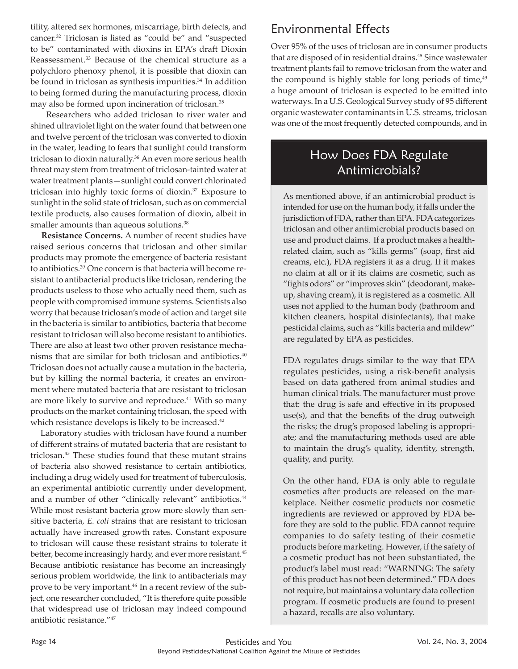tility, altered sex hormones, miscarriage, birth defects, and cancer.32 Triclosan is listed as "could be" and "suspected to be" contaminated with dioxins in EPA's draft Dioxin Reassessment.<sup>33</sup> Because of the chemical structure as a polychloro phenoxy phenol, it is possible that dioxin can be found in triclosan as synthesis impurities.<sup>34</sup> In addition to being formed during the manufacturing process, dioxin may also be formed upon incineration of triclosan.35

 Researchers who added triclosan to river water and shined ultraviolet light on the water found that between one and twelve percent of the triclosan was converted to dioxin in the water, leading to fears that sunlight could transform triclosan to dioxin naturally.<sup>36</sup> An even more serious health threat may stem from treatment of triclosan-tainted water at water treatment plants—sunlight could convert chlorinated triclosan into highly toxic forms of dioxin.37 Exposure to sunlight in the solid state of triclosan, such as on commercial textile products, also causes formation of dioxin, albeit in smaller amounts than aqueous solutions.<sup>38</sup>

 **Resistance Concerns.** A number of recent studies have raised serious concerns that triclosan and other similar products may promote the emergence of bacteria resistant to antibiotics.39 One concern is that bacteria will become resistant to antibacterial products like triclosan, rendering the products useless to those who actually need them, such as people with compromised immune systems. Scientists also worry that because triclosan's mode of action and target site in the bacteria is similar to antibiotics, bacteria that become resistant to triclosan will also become resistant to antibiotics. There are also at least two other proven resistance mechanisms that are similar for both triclosan and antibiotics.40 Triclosan does not actually cause a mutation in the bacteria, but by killing the normal bacteria, it creates an environment where mutated bacteria that are resistant to triclosan are more likely to survive and reproduce.<sup>41</sup> With so many products on the market containing triclosan, the speed with which resistance develops is likely to be increased.<sup>42</sup>

 Laboratory studies with triclosan have found a number of different strains of mutated bacteria that are resistant to triclosan.43 These studies found that these mutant strains of bacteria also showed resistance to certain antibiotics, including a drug widely used for treatment of tuberculosis, an experimental antibiotic currently under development, and a number of other "clinically relevant" antibiotics.<sup>44</sup> While most resistant bacteria grow more slowly than sensitive bacteria, *E. coli* strains that are resistant to triclosan actually have increased growth rates. Constant exposure to triclosan will cause these resistant strains to tolerate it better, become increasingly hardy, and ever more resistant.<sup>45</sup> Because antibiotic resistance has become an increasingly serious problem worldwide, the link to antibacterials may prove to be very important.46 In a recent review of the subject, one researcher concluded, "It is therefore quite possible that widespread use of triclosan may indeed compound antibiotic resistance."47

# Environmental Effects

Over 95% of the uses of triclosan are in consumer products that are disposed of in residential drains.<sup>48</sup> Since wastewater treatment plants fail to remove triclosan from the water and the compound is highly stable for long periods of time, $49$ a huge amount of triclosan is expected to be emitted into waterways. In a U.S. Geological Survey study of 95 different organic wastewater contaminants in U.S. streams, triclosan was one of the most frequently detected compounds, and in

# How Does FDA Regulate Antimicrobials?

As mentioned above, if an antimicrobial product is intended for use on the human body, it falls under the jurisdiction of FDA, rather than EPA. FDA categorizes triclosan and other antimicrobial products based on use and product claims. If a product makes a healthrelated claim, such as "kills germs" (soap, first aid creams, etc.), FDA registers it as a drug. If it makes no claim at all or if its claims are cosmetic, such as "fights odors" or "improves skin" (deodorant, makeup, shaving cream), it is registered as a cosmetic. All uses not applied to the human body (bathroom and kitchen cleaners, hospital disinfectants), that make pesticidal claims, such as "kills bacteria and mildew" are regulated by EPA as pesticides.

FDA regulates drugs similar to the way that EPA regulates pesticides, using a risk-benefit analysis based on data gathered from animal studies and human clinical trials. The manufacturer must prove that: the drug is safe and effective in its proposed  $use(s)$ , and that the benefits of the drug outweigh the risks; the drug's proposed labeling is appropriate; and the manufacturing methods used are able to maintain the drug's quality, identity, strength, quality, and purity.

On the other hand, FDA is only able to regulate cosmetics after products are released on the marketplace. Neither cosmetic products nor cosmetic ingredients are reviewed or approved by FDA before they are sold to the public. FDA cannot require companies to do safety testing of their cosmetic products before marketing. However, if the safety of a cosmetic product has not been substantiated, the product's label must read: "WARNING: The safety of this product has not been determined." FDA does not require, but maintains a voluntary data collection program. If cosmetic products are found to present a hazard, recalls are also voluntary.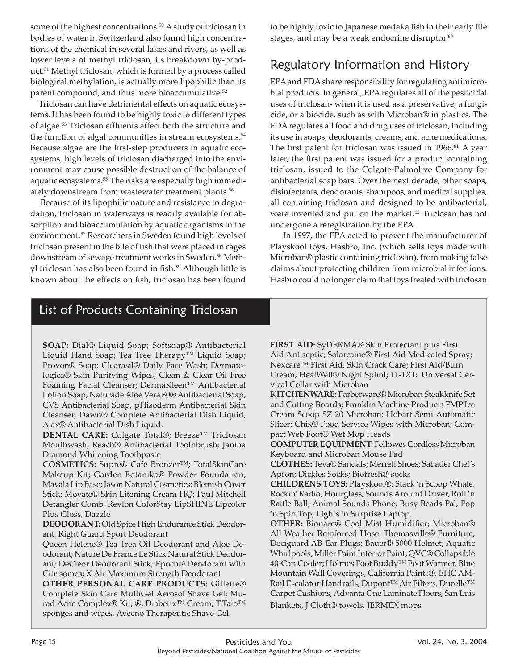some of the highest concentrations.<sup>50</sup> A study of triclosan in bodies of water in Switzerland also found high concentrations of the chemical in several lakes and rivers, as well as lower levels of methyl triclosan, its breakdown by-product.51 Methyl triclosan, which is formed by a process called biological methylation, is actually more lipophilic than its parent compound, and thus more bioaccumulative.<sup>52</sup>

Triclosan can have detrimental effects on aquatic ecosystems. It has been found to be highly toxic to different types of algae.<sup>53</sup> Triclosan effluents affect both the structure and the function of algal communities in stream ecosystems.<sup>54</sup> Because algae are the first-step producers in aquatic ecosystems, high levels of triclosan discharged into the environment may cause possible destruction of the balance of aquatic ecosystems.<sup>55</sup> The risks are especially high immediately downstream from wastewater treatment plants.<sup>56</sup>

 Because of its lipophilic nature and resistance to degradation, triclosan in waterways is readily available for absorption and bioaccumulation by aquatic organisms in the environment.57 Researchers in Sweden found high levels of triclosan present in the bile of fish that were placed in cages downstream of sewage treatment works in Sweden.<sup>58</sup> Methyl triclosan has also been found in fish.<sup>59</sup> Although little is known about the effects on fish, triclosan has been found to be highly toxic to Japanese medaka fish in their early life stages, and may be a weak endocrine disruptor.<sup>60</sup>

# Regulatory Information and History

EPA and FDA share responsibility for regulating antimicrobial products. In general, EPA regulates all of the pesticidal uses of triclosan- when it is used as a preservative, a fungicide, or a biocide, such as with Microban® in plastics. The FDA regulates all food and drug uses of triclosan, including its use in soaps, deodorants, creams, and acne medications. The first patent for triclosan was issued in 1966.<sup>61</sup> A year later, the first patent was issued for a product containing triclosan, issued to the Colgate-Palmolive Company for antibacterial soap bars. Over the next decade, other soaps, disinfectants, deodorants, shampoos, and medical supplies, all containing triclosan and designed to be antibacterial, were invented and put on the market.<sup>62</sup> Triclosan has not undergone a reregistration by the EPA.

 In 1997, the EPA acted to prevent the manufacturer of Playskool toys, Hasbro, Inc. (which sells toys made with Microban® plastic containing triclosan), from making false claims about protecting children from microbial infections. Hasbro could no longer claim that toys treated with triclosan

## List of Products Containing Triclosan

**SOAP:** Dial® Liquid Soap; Softsoap® Antibacterial Liquid Hand Soap; Tea Tree Therapy™ Liquid Soap; Provon® Soap; Clearasil® Daily Face Wash; Dermatologica® Skin Purifying Wipes; Clean & Clear Oil Free Foaming Facial Cleanser; DermaKleen™ Antibacterial Lotion Soap; Naturade Aloe Vera 80**®** Antibacterial Soap; CVS Antibacterial Soap, pHisoderm Antibacterial Skin Cleanser, Dawn® Complete Antibacterial Dish Liquid, Ajax® Antibacterial Dish Liquid.

**DENTAL CARE:** Colgate Total®; Breeze™ Triclosan Mouthwash; Reach® Antibacterial Toothbrush; Janina Diamond Whitening Toothpaste

**COSMETICS:** Supre® Café Bronzer™; TotalSkinCare Makeup Kit; Garden Botanika® Powder Foundation; Mavala Lip Base; Jason Natural Cosmetics; Blemish Cover Stick; Movate® Skin Litening Cream HQ; Paul Mitchell Detangler Comb, Revlon ColorStay LipSHINE Lipcolor Plus Gloss, Dazzle

**DEODORANT:** Old Spice High Endurance Stick Deodorant, Right Guard Sport Deodorant

Queen Helene® Tea Trea Oil Deodorant and Aloe Deodorant; Nature De France Le Stick Natural Stick Deodorant; DeCleor Deodorant Stick; Epoch® Deodorant with Citrisomes; X Air Maximum Strength Deodorant

**OTHER PERSONAL CARE PRODUCTS:** Gillette® Complete Skin Care MultiGel Aerosol Shave Gel; Murad Acne Complex® Kit, ®; Diabet-x™ Cream; T.Taio™ sponges and wipes, Aveeno Therapeutic Shave Gel.

**FIRST AID:** SyDERMA® Skin Protectant plus First Aid Antiseptic; Solarcaine® First Aid Medicated Spray; Nexcare™ First Aid, Skin Crack Care; First Aid/Burn Cream; HealWell® Night Splint**;** 11-1X1: Universal Cervical Collar with Microban

**KITCHENWARE:** Farberware® Microban Steakknife Set and Cutting Boards; Franklin Machine Products FMP Ice Cream Scoop SZ 20 Microban; Hobart Semi-Automatic Slicer; Chix® Food Service Wipes with Microban; Compact Web Foot® Wet Mop Heads

**COMPUTER EQUIPMENT:** Fellowes Cordless Microban Keyboard and Microban Mouse Pad

**CLOTHES:** Teva® Sandals; Merrell Shoes; Sabatier Chef's Apron; Dickies Socks; Biofresh® socks

**CHILDRENS TOYS:** Playskool®: Stack 'n Scoop Whale, Rockin' Radio, Hourglass, Sounds Around Driver, Roll 'n Rattle Ball, Animal Sounds Phone, Busy Beads Pal, Pop 'n Spin Top, Lights 'n Surprise Laptop

**OTHER:** Bionare® Cool Mist Humidifier; Microban® All Weather Reinforced Hose; Thomasville® Furniture; Deciguard AB Ear Plugs; Bauer® 5000 Helmet; Aquatic Whirlpools; Miller Paint Interior Paint; QVC® Collapsible 40-Can Cooler; Holmes Foot Buddy™ Foot Warmer, Blue Mountain Wall Coverings, California Paints®, EHC AM-Rail Escalator Handrails, Dupont™ Air Filters, Durelle™ Carpet Cushions, Advanta One Laminate Floors, San Luis Blankets, J Cloth® towels, JERMEX mops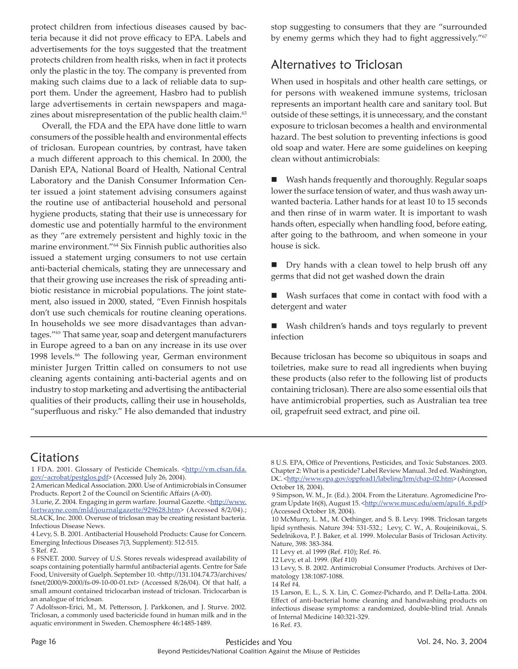protect children from infectious diseases caused by bacteria because it did not prove efficacy to EPA. Labels and advertisements for the toys suggested that the treatment protects children from health risks, when in fact it protects only the plastic in the toy. The company is prevented from making such claims due to a lack of reliable data to support them. Under the agreement, Hasbro had to publish large advertisements in certain newspapers and magazines about misrepresentation of the public health claim.<sup>63</sup>

Overall, the FDA and the EPA have done little to warn consumers of the possible health and environmental effects of triclosan. European countries, by contrast, have taken a much different approach to this chemical. In 2000, the Danish EPA, National Board of Health, National Central Laboratory and the Danish Consumer Information Center issued a joint statement advising consumers against the routine use of antibacterial household and personal hygiene products, stating that their use is unnecessary for domestic use and potentially harmful to the environment as they "are extremely persistent and highly toxic in the marine environment."64 Six Finnish public authorities also issued a statement urging consumers to not use certain anti-bacterial chemicals, stating they are unnecessary and that their growing use increases the risk of spreading antibiotic resistance in microbial populations. The joint statement, also issued in 2000, stated, "Even Finnish hospitals don't use such chemicals for routine cleaning operations. In households we see more disadvantages than advantages."65 That same year, soap and detergent manufacturers in Europe agreed to a ban on any increase in its use over 1998 levels.<sup>66</sup> The following year, German environment minister Jurgen Trittin called on consumers to not use cleaning agents containing anti-bacterial agents and on industry to stop marketing and advertising the antibacterial qualities of their products, calling their use in households, "superfluous and risky." He also demanded that industry stop suggesting to consumers that they are "surrounded by enemy germs which they had to fight aggressively."<sup>67</sup>

#### Alternatives to Triclosan

When used in hospitals and other health care settings, or for persons with weakened immune systems, triclosan represents an important health care and sanitary tool. But outside of these settings, it is unnecessary, and the constant exposure to triclosan becomes a health and environmental hazard. The best solution to preventing infections is good old soap and water. Here are some guidelines on keeping clean without antimicrobials:

 Wash hands frequently and thoroughly. Regular soaps lower the surface tension of water, and thus wash away unwanted bacteria. Lather hands for at least 10 to 15 seconds and then rinse of in warm water. It is important to wash hands often, especially when handling food, before eating, after going to the bathroom, and when someone in your house is sick.

■ Dry hands with a clean towel to help brush off any germs that did not get washed down the drain

 Wash surfaces that come in contact with food with a detergent and water

 Wash children's hands and toys regularly to prevent infection

Because triclosan has become so ubiquitous in soaps and toiletries, make sure to read all ingredients when buying these products (also refer to the following list of products containing triclosan). There are also some essential oils that have antimicrobial properties, such as Australian tea tree oil, grapefruit seed extract, and pine oil.

## Citations

1 FDA. 2001. Glossary of Pesticide Chemicals. <http://vm.cfsan.fda. gov/~acrobat/pestglos.pdf> (Accessed July 26, 2004).

 2 American Medical Association. 2000. Use of Antimicrobials in Consumer Products. Report 2 of the Council on Scientific Affairs (A-00).

3 Lurie, Z. 2004. Engaging in germ warfare. Journal Gazette. <http://www. fortwayne.com/mld/journalgazette/929628.htm> (Accessed 8/2/04).; SLACK, Inc. 2000. Overuse of triclosan may be creating resistant bacteria. Infectious Disease News.

 4 Levy, S. B. 2001. Antibacterial Household Products: Cause for Concern. Emerging Infectious Diseases 7(3, Supplement): 512-515. 5 Ref. #2.

8 U.S. EPA, Office of Preventions, Pesticides, and Toxic Substances. 2003. Chapter 2: What is a pesticide? Label Review Manual. 3rd ed. Washington, DC. <http://www.epa.gov/oppfead1/labeling/lrm/chap-02.htm>(Accessed October 18, 2004).

 9 Simpson, W. M., Jr. (Ed.). 2004. From the Literature. Agromedicine Program Update 16(8), August 15. < http://www.musc.edu/oem/apu16\_8.pdf> (Accessed October 18, 2004).

 10 McMurry, L. M., M. Oethinger, and S. B. Levy. 1998. Triclosan targets lipid synthesis. Nature 394: 531-532.; Levy, C. W., A. Roujeinikovai,, S. Sedelnikova, P. J. Baker, et al. 1999. Molecular Basis of Triclosan Activity. Nature, 398: 383-384.

11 Levy et. al 1999 (Ref. #10); Ref. #6.

12 Levy, et al. 1999. (Ref #10)

 13 Levy, S. B. 2002. Antimicrobial Consumer Products. Archives of Dermatology 138:1087-1088.

14 Ref #4.

 <sup>6</sup> FSNET. 2000. Survey of U.S. Stores reveals widespread availability of soaps containing potentially harmful antibacterial agents. Centre for Safe Food, University of Guelph. September 10. < http://131.104.74.73/archives/ fsnet/2000/9-2000/fs-09-10-00-01.txt> (Accessed 8/26/04). Of that half, a small amount contained triclocarban instead of triclosan. Triclocarban is an analogue of triclosan.

<sup>7</sup> Adolfsson-Erici, M., M. Pettersson, J. Parkkonen, and J. Sturve. 2002. Triclosan, a commonly used bactericide found in human milk and in the aquatic environment in Sweden. Chemosphere 46:1485-1489.

<sup>15</sup> Larson, E. L., S. X. Lin, C. Gomez-Pichardo, and P. Della-Latta. 2004. Effect of anti-bacterial home cleaning and handwashing products on infectious disease symptoms: a randomized, double-blind trial. Annals of Internal Medicine 140:321-329. 16 Ref. #3.